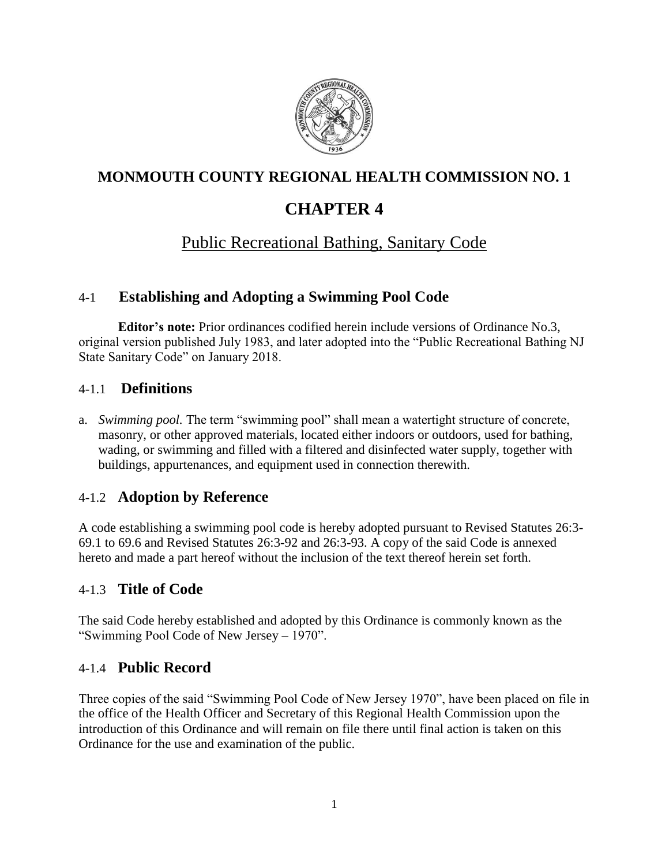

# **MONMOUTH COUNTY REGIONAL HEALTH COMMISSION NO. 1**

# **CHAPTER 4**

# Public Recreational Bathing, Sanitary Code

### 4-1 **Establishing and Adopting a Swimming Pool Code**

**Editor's note:** Prior ordinances codified herein include versions of Ordinance No.3, original version published July 1983, and later adopted into the "Public Recreational Bathing NJ State Sanitary Code" on January 2018.

### 4-1.1 **Definitions**

a. *Swimming pool.* The term "swimming pool" shall mean a watertight structure of concrete, masonry, or other approved materials, located either indoors or outdoors, used for bathing, wading, or swimming and filled with a filtered and disinfected water supply, together with buildings, appurtenances, and equipment used in connection therewith.

## 4-1.2 **Adoption by Reference**

A code establishing a swimming pool code is hereby adopted pursuant to Revised Statutes 26:3- 69.1 to 69.6 and Revised Statutes 26:3-92 and 26:3-93. A copy of the said Code is annexed hereto and made a part hereof without the inclusion of the text thereof herein set forth.

### 4-1.3 **Title of Code**

The said Code hereby established and adopted by this Ordinance is commonly known as the "Swimming Pool Code of New Jersey – 1970".

### 4-1.4 **Public Record**

Three copies of the said "Swimming Pool Code of New Jersey 1970", have been placed on file in the office of the Health Officer and Secretary of this Regional Health Commission upon the introduction of this Ordinance and will remain on file there until final action is taken on this Ordinance for the use and examination of the public.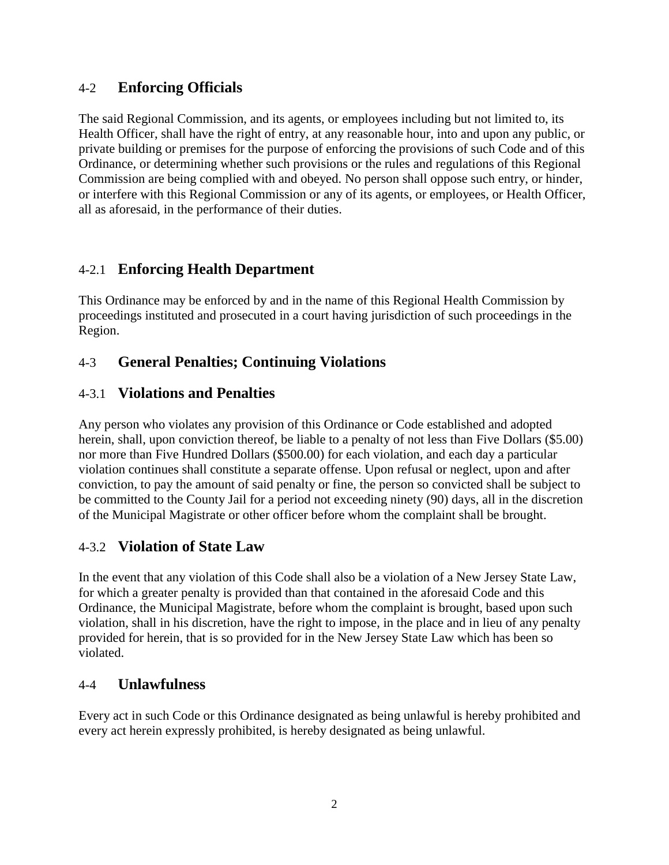### 4-2 **Enforcing Officials**

The said Regional Commission, and its agents, or employees including but not limited to, its Health Officer, shall have the right of entry, at any reasonable hour, into and upon any public, or private building or premises for the purpose of enforcing the provisions of such Code and of this Ordinance, or determining whether such provisions or the rules and regulations of this Regional Commission are being complied with and obeyed. No person shall oppose such entry, or hinder, or interfere with this Regional Commission or any of its agents, or employees, or Health Officer, all as aforesaid, in the performance of their duties.

## 4-2.1 **Enforcing Health Department**

This Ordinance may be enforced by and in the name of this Regional Health Commission by proceedings instituted and prosecuted in a court having jurisdiction of such proceedings in the Region.

## 4-3 **General Penalties; Continuing Violations**

### 4-3.1 **Violations and Penalties**

Any person who violates any provision of this Ordinance or Code established and adopted herein, shall, upon conviction thereof, be liable to a penalty of not less than Five Dollars (\$5.00) nor more than Five Hundred Dollars (\$500.00) for each violation, and each day a particular violation continues shall constitute a separate offense. Upon refusal or neglect, upon and after conviction, to pay the amount of said penalty or fine, the person so convicted shall be subject to be committed to the County Jail for a period not exceeding ninety (90) days, all in the discretion of the Municipal Magistrate or other officer before whom the complaint shall be brought.

## 4-3.2 **Violation of State Law**

In the event that any violation of this Code shall also be a violation of a New Jersey State Law, for which a greater penalty is provided than that contained in the aforesaid Code and this Ordinance, the Municipal Magistrate, before whom the complaint is brought, based upon such violation, shall in his discretion, have the right to impose, in the place and in lieu of any penalty provided for herein, that is so provided for in the New Jersey State Law which has been so violated.

### 4-4 **Unlawfulness**

Every act in such Code or this Ordinance designated as being unlawful is hereby prohibited and every act herein expressly prohibited, is hereby designated as being unlawful.